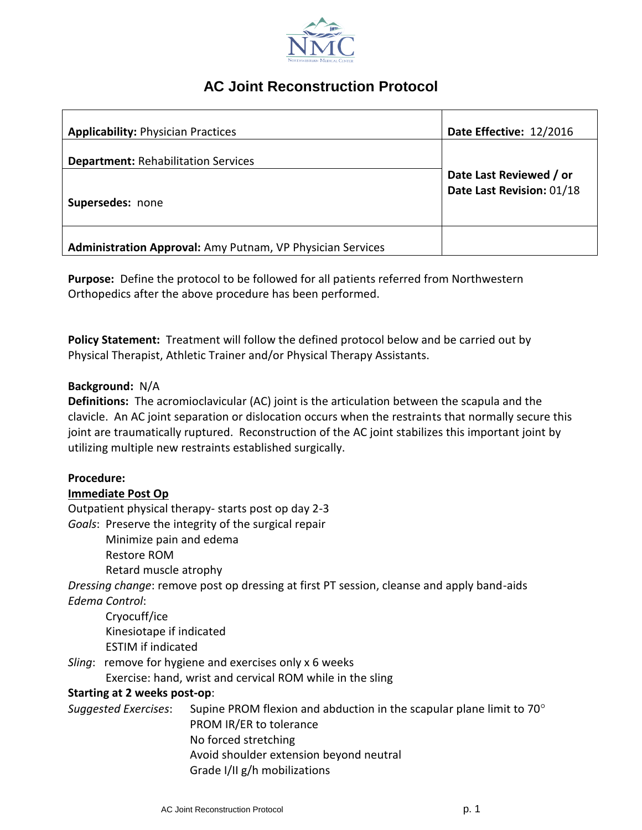

# **AC Joint Reconstruction Protocol**

| <b>Applicability: Physician Practices</b>                  | Date Effective: 12/2016                              |
|------------------------------------------------------------|------------------------------------------------------|
| <b>Department: Rehabilitation Services</b>                 |                                                      |
|                                                            | Date Last Reviewed / or<br>Date Last Revision: 01/18 |
| Supersedes: none                                           |                                                      |
|                                                            |                                                      |
| Administration Approval: Amy Putnam, VP Physician Services |                                                      |

**Purpose:** Define the protocol to be followed for all patients referred from Northwestern Orthopedics after the above procedure has been performed.

**Policy Statement:** Treatment will follow the defined protocol below and be carried out by Physical Therapist, Athletic Trainer and/or Physical Therapy Assistants.

## **Background:** N/A

**Definitions:** The acromioclavicular (AC) joint is the articulation between the scapula and the clavicle. An AC joint separation or dislocation occurs when the restraints that normally secure this joint are traumatically ruptured. Reconstruction of the AC joint stabilizes this important joint by utilizing multiple new restraints established surgically.

## **Procedure:**

## **Immediate Post Op**

Outpatient physical therapy- starts post op day 2-3

*Goals*: Preserve the integrity of the surgical repair

Minimize pain and edema

Restore ROM

Retard muscle atrophy

*Dressing change*: remove post op dressing at first PT session, cleanse and apply band-aids *Edema Control*:

Cryocuff/ice Kinesiotape if indicated ESTIM if indicated

*Sling*: remove for hygiene and exercises only x 6 weeks

Exercise: hand, wrist and cervical ROM while in the sling

## **Starting at 2 weeks post-op**:

*Suggested Exercises*: Supine PROM flexion and abduction in the scapular plane limit to 70 PROM IR/ER to tolerance No forced stretching Avoid shoulder extension beyond neutral Grade I/II g/h mobilizations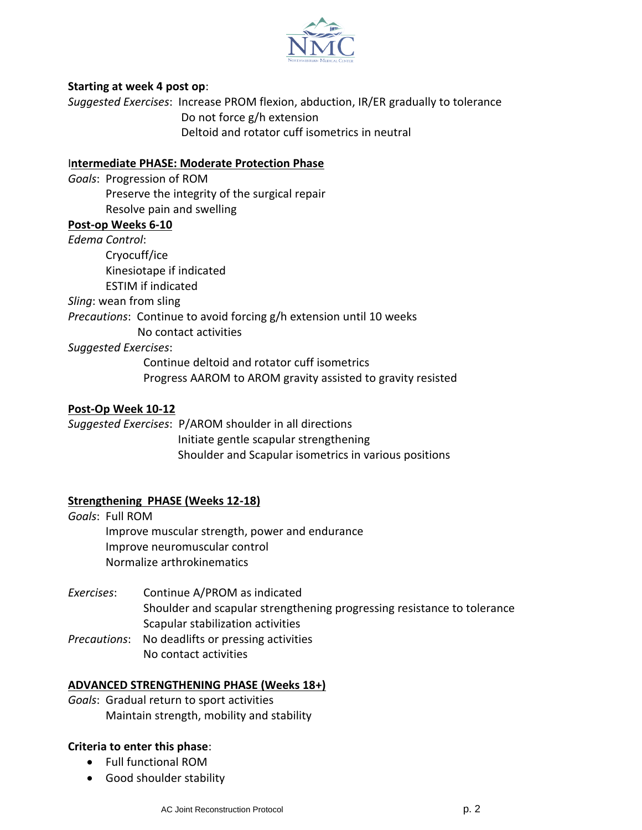

## **Starting at week 4 post op**:

*Suggested Exercises*: Increase PROM flexion, abduction, IR/ER gradually to tolerance Do not force g/h extension Deltoid and rotator cuff isometrics in neutral

# I**ntermediate PHASE: Moderate Protection Phase**

*Goals*: Progression of ROM Preserve the integrity of the surgical repair Resolve pain and swelling

## **Post-op Weeks 6-10**

*Edema Control*: Cryocuff/ice Kinesiotape if indicated ESTIM if indicated *Sling*: wean from sling

*Precautions*: Continue to avoid forcing g/h extension until 10 weeks

No contact activities

#### *Suggested Exercises*:

Continue deltoid and rotator cuff isometrics Progress AAROM to AROM gravity assisted to gravity resisted

#### **Post-Op Week 10-12**

*Suggested Exercises*: P/AROM shoulder in all directions Initiate gentle scapular strengthening Shoulder and Scapular isometrics in various positions

## **Strengthening PHASE (Weeks 12-18)**

*Goals*: Full ROM Improve muscular strength, power and endurance Improve neuromuscular control Normalize arthrokinematics

- *Exercises*: Continue A/PROM as indicated Shoulder and scapular strengthening progressing resistance to tolerance Scapular stabilization activities
- *Precautions*: No deadlifts or pressing activities No contact activities

#### **ADVANCED STRENGTHENING PHASE (Weeks 18+)**

*Goals*: Gradual return to sport activities Maintain strength, mobility and stability

#### **Criteria to enter this phase**:

- Full functional ROM
- Good shoulder stability